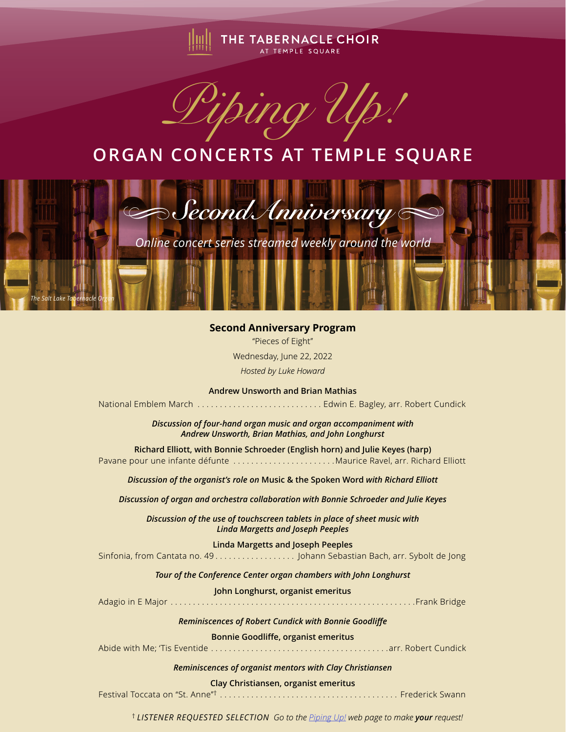

*Piping Up!*

## **ORGAN CONCERTS AT TEMPLE SQUARE**



## **Second Anniversary Program**

"Pieces of Eight" Wednesday, June 22, 2022 *Hosted by Luke Howard*

**Andrew Unsworth and Brian Mathias** National Emblem March . . . . . . . . . . . . . . . . . . . . . . . . . . . . Edwin E. Bagley, arr. Robert Cundick

> *Discussion of four-hand organ music and organ accompaniment with Andrew Unsworth, Brian Mathias, and John Longhurst*

**Richard Elliott, with Bonnie Schroeder (English horn) and Julie Keyes (harp)** Pavane pour une infante défunte . . . . . . . . . . . . . . . . . . . . . . Maurice Ravel, arr. Richard Elliott

*Discussion of the organist's role on* **Music & the Spoken Word** *with Richard Elliott*

*Discussion of organ and orchestra collaboration with Bonnie Schroeder and Julie Keyes*

*Discussion of the use of touchscreen tablets in place of sheet music with Linda Margetts and Joseph Peeples*

**Linda Margetts and Joseph Peeples**

Sinfonia, from Cantata no. 49 . . . . . . . . . . . . . . . . . . Johann Sebastian Bach, arr. Sybolt de Jong

*Tour of the Conference Center organ chambers with John Longhurst*

**John Longhurst, organist emeritus**

Adagio in E Major . . . . . . . . . . . . . . . . . . . . . . . . . . . . . . . . . . . . . . . . . . . . . . . . . . . . . . Frank Bridge

*Reminiscences of Robert Cundick with Bonnie Goodliffe*

**Bonnie Goodliffe, organist emeritus**

Abide with Me; 'Tis Eventide . . . . . . . . . . . . . . . . . . . . . . . . . . . . . . . . . . . . . . . arr. Robert Cundick

*Reminiscences of organist mentors with Clay Christiansen*

## **Clay Christiansen, organist emeritus**

Festival Toccata on "St. Anne"† . . . . . . . . . . . . . . . . . . . . . . . . . . . . . . . . . . . . . . . . Frederick Swann

† *LISTENER REQUESTED SELECTION Go to the Piping Up! web page to make your request!*